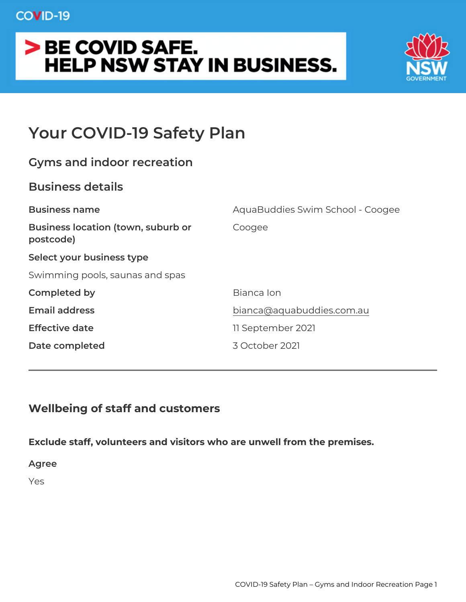# Your COVID-19 Safety Plan

| Gyms and indoor recreation                         |                                  |
|----------------------------------------------------|----------------------------------|
| Business details                                   |                                  |
| Business name                                      | AquaBuddies Swim School - Coogee |
| Business location (town, suburbCongee<br>postcode) |                                  |
| Select your business type                          |                                  |
| Swimming pools, saunas and spas                    |                                  |
| Completed by                                       | Bianca Ion                       |
| Email address                                      | bianca@aquabuddies.com.au        |
| Effective date                                     | 11 September 2021                |
| Date completed                                     | 3 October 2021                   |
|                                                    |                                  |

Wellbeing of staff and customers

Exclude staff, volunteers and visitors who are unwell from the prer Agree Yes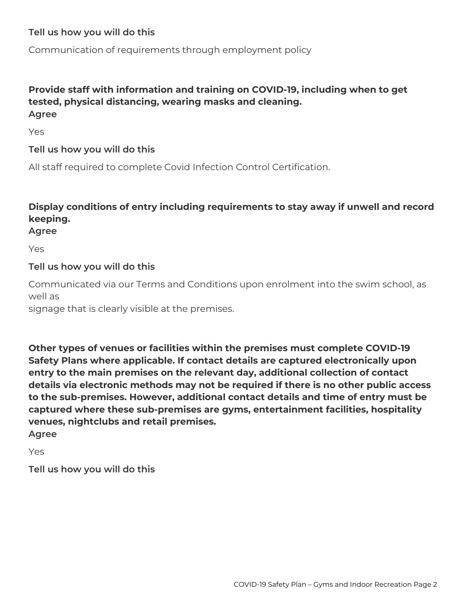#### **Tell us how you will do this**

Communication of requirements through employment policy

#### **Provide staff with information and training on COVID-19, including when to get tested, physical distancing, wearing masks and cleaning. Agree**

Yes

#### **Tell us how you will do this**

All staff required to complete Covid Infection Control Certification.

### **Display conditions of entry including requirements to stay away if unwell and record keeping.**

#### **Agree**

Yes

#### **Tell us how you will do this**

Communicated via our Terms and Conditions upon enrolment into the swim school, as well as

signage that is clearly visible at the premises.

**Other types of venues or facilities within the premises must complete COVID-19 Safety Plans where applicable. If contact details are captured electronically upon entry to the main premises on the relevant day, additional collection of contact details via electronic methods may not be required if there is no other public access to the sub-premises. However, additional contact details and time of entry must be captured where these sub-premises are gyms, entertainment facilities, hospitality venues, nightclubs and retail premises. Agree**

Yes

**Tell us how you will do this**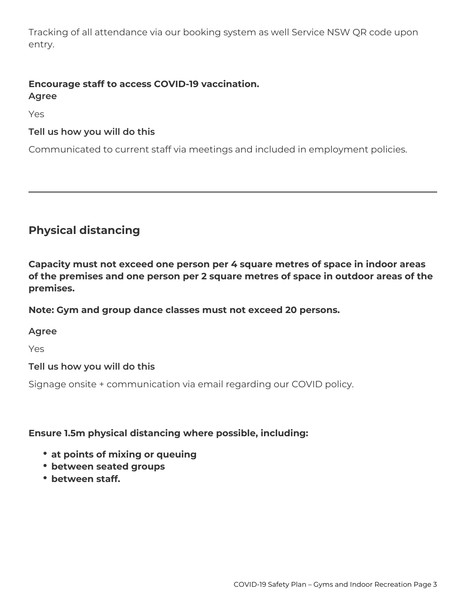Tracking of all attendance via our booking system as well Service NSW QR code upon entry.

#### **Encourage staff to access COVID-19 vaccination. Agree**

Yes

#### **Tell us how you will do this**

Communicated to current staff via meetings and included in employment policies.

# **Physical distancing**

**Capacity must not exceed one person per 4 square metres of space in indoor areas of the premises and one person per 2 square metres of space in outdoor areas of the premises.**

**Note: Gym and group dance classes must not exceed 20 persons.**

#### **Agree**

Yes

#### **Tell us how you will do this**

Signage onsite + communication via email regarding our COVID policy.

#### **Ensure 1.5m physical distancing where possible, including:**

- **at points of mixing or queuing**
- **between seated groups**
- **between staff.**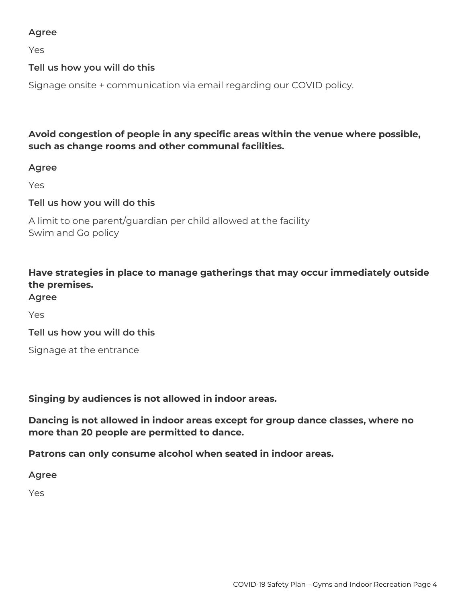#### **Agree**

Yes

#### **Tell us how you will do this**

Signage onsite + communication via email regarding our COVID policy.

**Avoid congestion of people in any specific areas within the venue where possible, such as change rooms and other communal facilities.**

#### **Agree**

Yes

#### **Tell us how you will do this**

A limit to one parent/guardian per child allowed at the facility Swim and Go policy

### **Have strategies in place to manage gatherings that may occur immediately outside the premises.**

#### **Agree**

Yes

**Tell us how you will do this**

Signage at the entrance

#### **Singing by audiences is not allowed in indoor areas.**

**Dancing is not allowed in indoor areas except for group dance classes, where no more than 20 people are permitted to dance.**

**Patrons can only consume alcohol when seated in indoor areas.**

**Agree**

Yes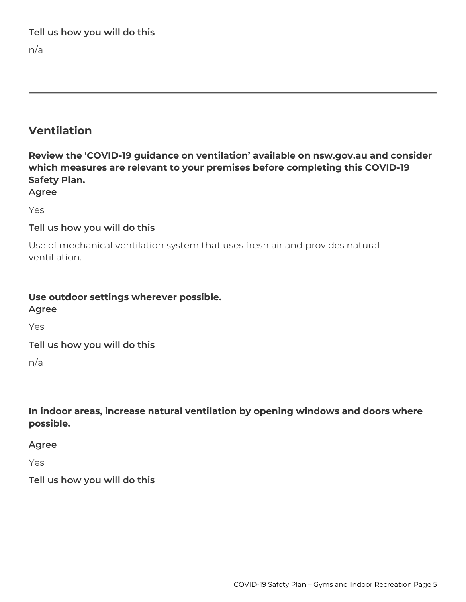**Tell us how you will do this**

n/a

# **Ventilation**

**Review the 'COVID-19 guidance on ventilation' available on nsw.gov.au and consider which measures are relevant to your premises before completing this COVID-19 Safety Plan.**

**Agree**

Yes

#### **Tell us how you will do this**

Use of mechanical ventilation system that uses fresh air and provides natural ventillation.

# **Use outdoor settings wherever possible.**

**Agree**

Yes

**Tell us how you will do this**

n/a

**In indoor areas, increase natural ventilation by opening windows and doors where possible.**

**Agree**

Yes

**Tell us how you will do this**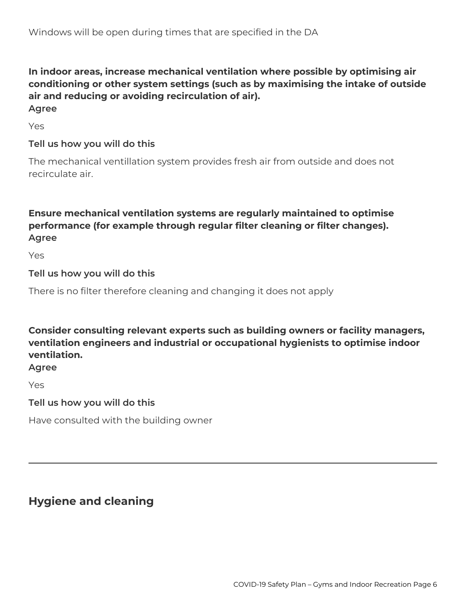#### **In indoor areas, increase mechanical ventilation where possible by optimising air conditioning or other system settings (such as by maximising the intake of outside air and reducing or avoiding recirculation of air). Agree**

Yes

#### **Tell us how you will do this**

The mechanical ventillation system provides fresh air from outside and does not recirculate air.

### **Ensure mechanical ventilation systems are regularly maintained to optimise performance (for example through regular filter cleaning or filter changes). Agree**

Yes

#### **Tell us how you will do this**

There is no filter therefore cleaning and changing it does not apply

**Consider consulting relevant experts such as building owners or facility managers, ventilation engineers and industrial or occupational hygienists to optimise indoor ventilation.**

#### **Agree**

Yes

#### **Tell us how you will do this**

Have consulted with the building owner

# **Hygiene and cleaning**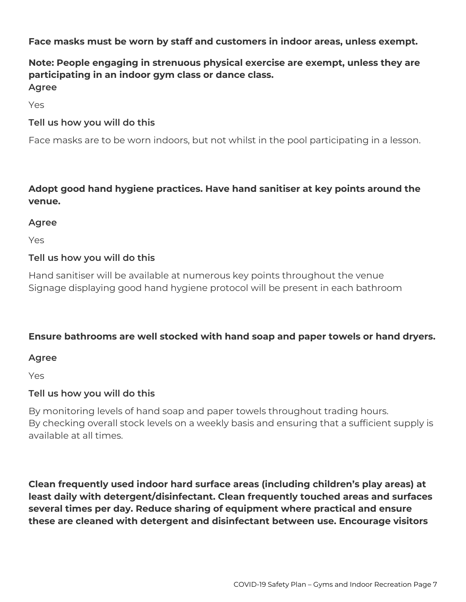**Face masks must be worn by staff and customers in indoor areas, unless exempt.**

### **Note: People engaging in strenuous physical exercise are exempt, unless they are participating in an indoor gym class or dance class. Agree**

Yes

#### **Tell us how you will do this**

Face masks are to be worn indoors, but not whilst in the pool participating in a lesson.

#### **Adopt good hand hygiene practices. Have hand sanitiser at key points around the venue.**

#### **Agree**

Yes

#### **Tell us how you will do this**

Hand sanitiser will be available at numerous key points throughout the venue Signage displaying good hand hygiene protocol will be present in each bathroom

#### **Ensure bathrooms are well stocked with hand soap and paper towels or hand dryers.**

#### **Agree**

Yes

#### **Tell us how you will do this**

By monitoring levels of hand soap and paper towels throughout trading hours. By checking overall stock levels on a weekly basis and ensuring that a sufficient supply is available at all times.

**Clean frequently used indoor hard surface areas (including children's play areas) at least daily with detergent/disinfectant. Clean frequently touched areas and surfaces several times per day. Reduce sharing of equipment where practical and ensure these are cleaned with detergent and disinfectant between use. Encourage visitors**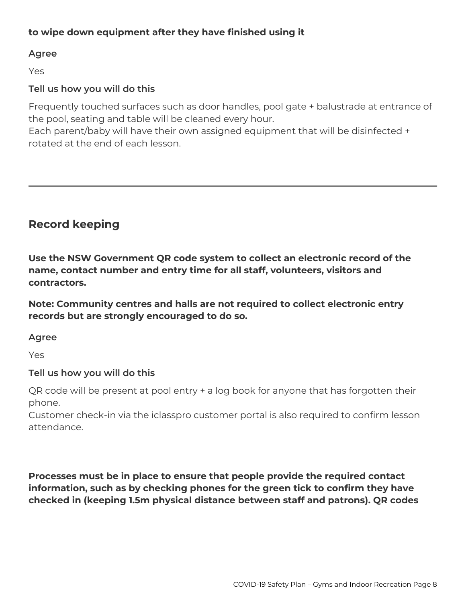#### **to wipe down equipment after they have finished using it**

#### **Agree**

Yes

#### **Tell us how you will do this**

Frequently touched surfaces such as door handles, pool gate + balustrade at entrance of the pool, seating and table will be cleaned every hour.

Each parent/baby will have their own assigned equipment that will be disinfected + rotated at the end of each lesson.

## **Record keeping**

**Use the NSW Government QR code system to collect an electronic record of the name, contact number and entry time for all staff, volunteers, visitors and contractors.**

**Note: Community centres and halls are not required to collect electronic entry records but are strongly encouraged to do so.**

#### **Agree**

Yes

#### **Tell us how you will do this**

QR code will be present at pool entry + a log book for anyone that has forgotten their phone.

Customer check-in via the iclasspro customer portal is also required to confirm lesson attendance.

**Processes must be in place to ensure that people provide the required contact information, such as by checking phones for the green tick to confirm they have checked in (keeping 1.5m physical distance between staff and patrons). QR codes**